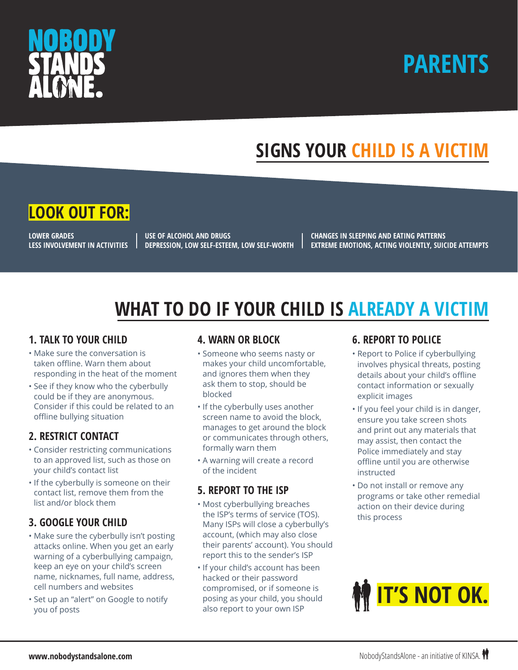

# **PARENTS**

# **SIGNS YOUR CHILD IS A VICTIM**



**LOWER GRADES LESS INVOLVEMENT IN ACTIVITIES** 

**USE OF ALCOHOL AND DRUGS DEPRESSION, LOW SELF-ESTEEM, LOW SELF-WORTH** **CHANGES IN SLEEPING AND EATING PATTERNS EXTREME EMOTIONS, ACTING VIOLENTLY, SUICIDE ATTEMPTS**

# **WHAT TO DO IF YOUR CHILD IS ALREADY A VICTIM**

#### **1. TALK TO YOUR CHILD**

- Make sure the conversation is taken offline. Warn them about responding in the heat of the moment
- See if they know who the cyberbully could be if they are anonymous. Consider if this could be related to an offline bullying situation

## **2. RESTRICT CONTACT**

- Consider restricting communications to an approved list, such as those on your child's contact list
- If the cyberbully is someone on their contact list, remove them from the list and/or block them

## **3. GOOGLE YOUR CHILD**

- Make sure the cyberbully isn't posting attacks online. When you get an early warning of a cyberbullying campaign, keep an eye on your child's screen name, nicknames, full name, address, cell numbers and websites
- Set up an "alert" on Google to notify you of posts

#### **4. WARN OR BLOCK**

- Someone who seems nasty or makes your child uncomfortable, and ignores them when they ask them to stop, should be blocked
- If the cyberbully uses another screen name to avoid the block, manages to get around the block or communicates through others, formally warn them
- A warning will create a record of the incident

## **5. REPORT TO THE ISP**

- Most cyberbullying breaches the ISP's terms of service (TOS). Many ISPs will close a cyberbully's account, (which may also close their parents' account). You should report this to the sender's ISP
- If your child's account has been hacked or their password compromised, or if someone is posing as your child, you should also report to your own ISP

### **6. REPORT TO POLICE**

- Report to Police if cyberbullying involves physical threats, posting details about your child's offline contact information or sexually explicit images
- If you feel your child is in danger, ensure you take screen shots and print out any materials that may assist, then contact the Police immediately and stay offline until you are otherwise instructed
- Do not install or remove any programs or take other remedial action on their device during this process